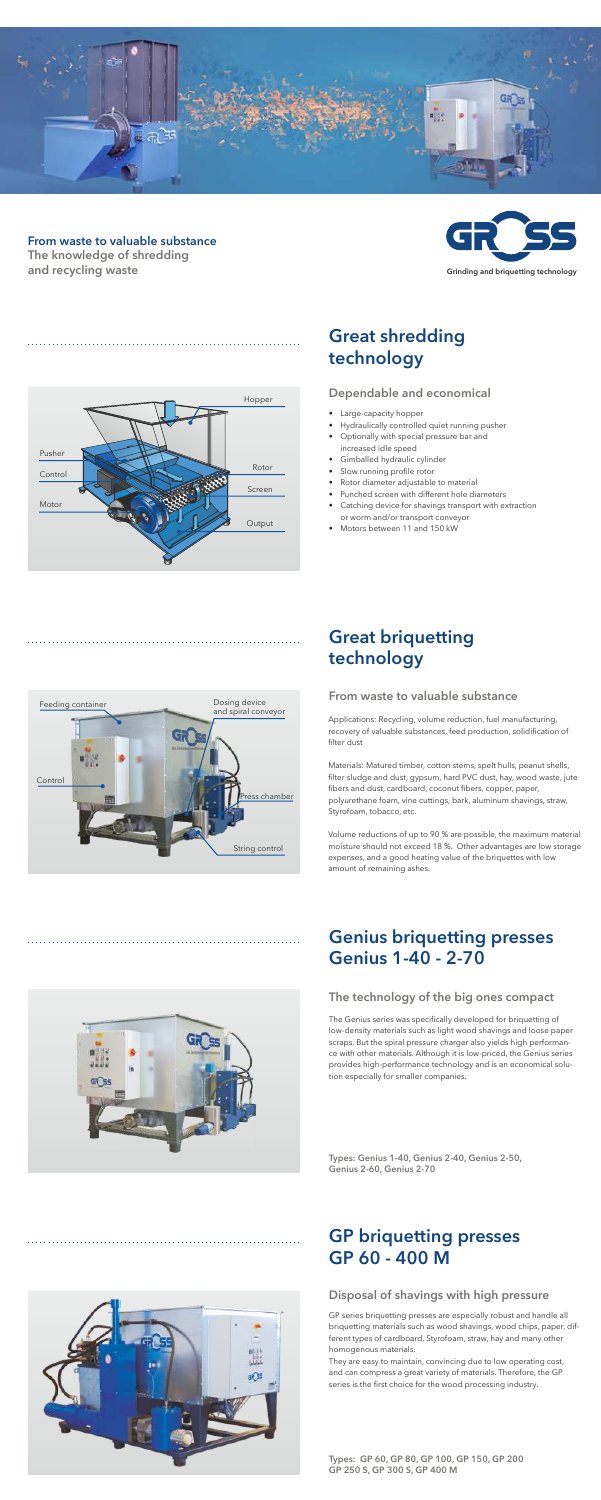## Great briquetting technology

### Genius briquetting presses Genius 1-40 - 2-70



#### From waste to valuable substance

#### The technology of the big ones compact

#### Disposal of shavings with high pressure

Types: Genius 1-40, Genius 2-40, Genius 2-50, Genius 2-60, Genius 2-70



Types: GP 60, GP 80, GP 100, GP 150, GP 200 GP 250 S, GP 300 S, GP 400 M

### GP briquetting presses GP 60 - 400 M

The Genius series was specifically developed for briquetting of low-density materials such as light wood shavings and loose paper scraps. But the spiral pressure charger also yields high performance with other materials. Although it is low-priced, the Genius series provides high-performance technology and is an economical solution especially for smaller companies.

GP series briquetting presses are especially robust and handle all briquetting materials such as wood shavings, wood chips, paper, different types of cardboard, Styrofoam, straw, hay and many other homogenous materials.

They are easy to maintain, convincing due to low operating cost, and can compress a great variety of materials. Therefore, the GP series is the first choice for the wood processing industry.

- Large-capacity hopper
- Hydraulically controlled quiet running pusher
- Optionally with special pressure bar and increased idle speed
- Gimballed hydraulic cylinder
- Slow running profile rotor
- Rotor diameter adjustable to material
- Punched screen with different hole diameters
- Catching device for shavings transport with extraction or worm and/or transport conveyor
- Motors between 11 and 150 kW

Applications: Recycling, volume reduction, fuel manufacturing, recovery of valuable substances, feed production, solidification of filter dust

Materials: Matured timber, cotton stems, spelt hulls, peanut shells, filter sludge and dust, gypsum, hard PVC dust, hay, wood waste, jute fibers and dust, cardboard, coconut fibers, copper, paper, polyurethane foam, vine cuttings, bark, aluminum shavings, straw, Styrofoam, tobacco, etc.

Volume reductions of up to 90 % are possible, the maximum material moisture should not exceed 18 %. Other advantages are low storage expenses, and a good heating value of the briquettes with low amount of remaining ashes.



### Great shredding technology

#### Dependable and economical





### From waste to valuable substance The knowledge of shredding